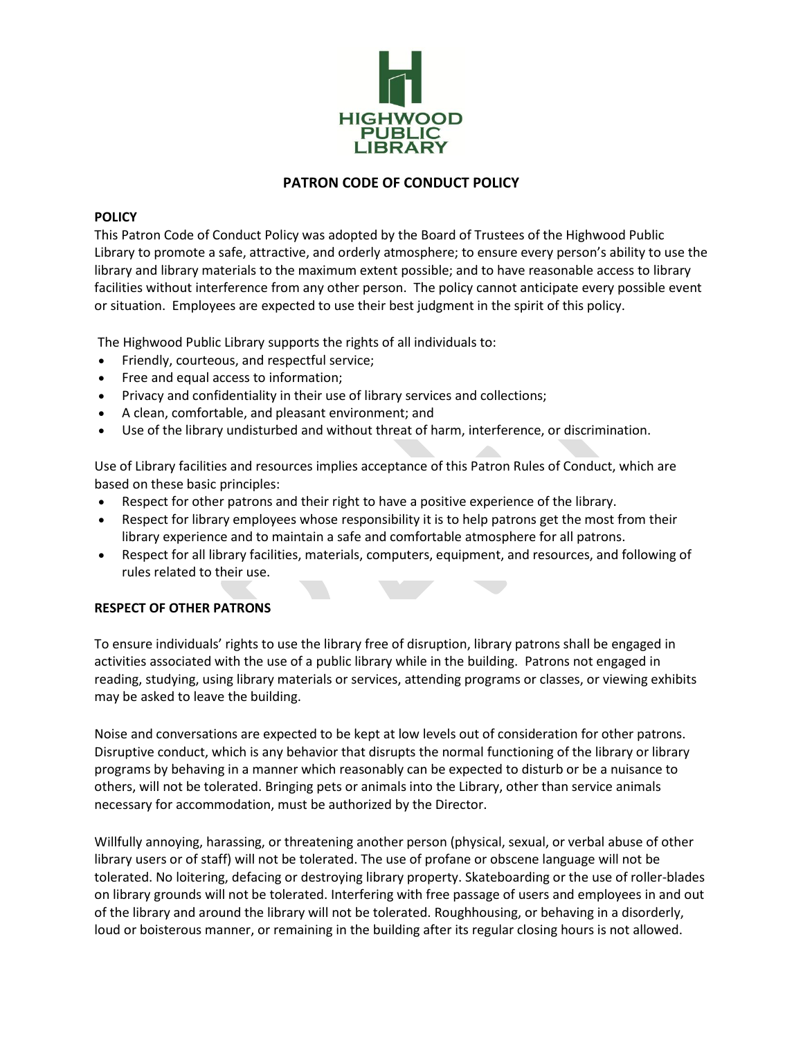

# **PATRON CODE OF CONDUCT POLICY**

# **POLICY**

This Patron Code of Conduct Policy was adopted by the Board of Trustees of the Highwood Public Library to promote a safe, attractive, and orderly atmosphere; to ensure every person's ability to use the library and library materials to the maximum extent possible; and to have reasonable access to library facilities without interference from any other person. The policy cannot anticipate every possible event or situation. Employees are expected to use their best judgment in the spirit of this policy.

The Highwood Public Library supports the rights of all individuals to:

- Friendly, courteous, and respectful service;
- Free and equal access to information;
- Privacy and confidentiality in their use of library services and collections;
- A clean, comfortable, and pleasant environment; and
- Use of the library undisturbed and without threat of harm, interference, or discrimination.

Use of Library facilities and resources implies acceptance of this Patron Rules of Conduct, which are based on these basic principles:

- Respect for other patrons and their right to have a positive experience of the library.
- Respect for library employees whose responsibility it is to help patrons get the most from their library experience and to maintain a safe and comfortable atmosphere for all patrons.
- Respect for all library facilities, materials, computers, equipment, and resources, and following of rules related to their use.

### **RESPECT OF OTHER PATRONS**

To ensure individuals' rights to use the library free of disruption, library patrons shall be engaged in activities associated with the use of a public library while in the building. Patrons not engaged in reading, studying, using library materials or services, attending programs or classes, or viewing exhibits may be asked to leave the building.

Noise and conversations are expected to be kept at low levels out of consideration for other patrons. Disruptive conduct, which is any behavior that disrupts the normal functioning of the library or library programs by behaving in a manner which reasonably can be expected to disturb or be a nuisance to others, will not be tolerated. Bringing pets or animals into the Library, other than service animals necessary for accommodation, must be authorized by the Director.

Willfully annoying, harassing, or threatening another person (physical, sexual, or verbal abuse of other library users or of staff) will not be tolerated. The use of profane or obscene language will not be tolerated. No loitering, defacing or destroying library property. Skateboarding or the use of roller-blades on library grounds will not be tolerated. Interfering with free passage of users and employees in and out of the library and around the library will not be tolerated. Roughhousing, or behaving in a disorderly, loud or boisterous manner, or remaining in the building after its regular closing hours is not allowed.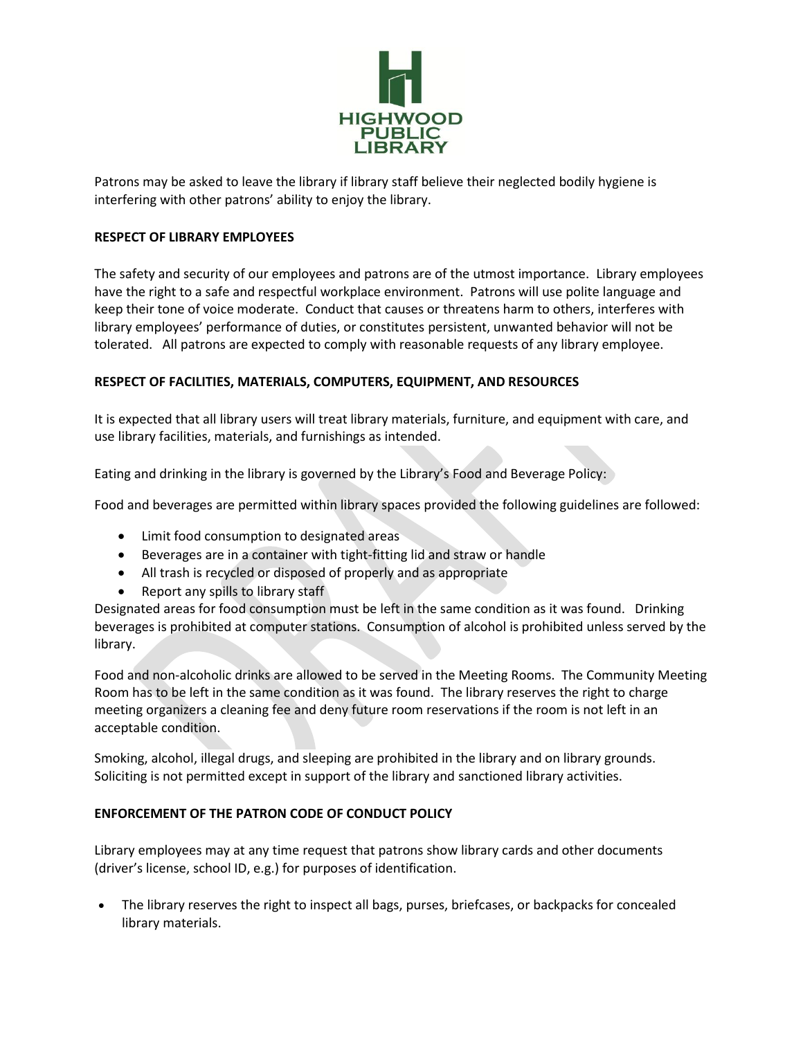

Patrons may be asked to leave the library if library staff believe their neglected bodily hygiene is interfering with other patrons' ability to enjoy the library.

### **RESPECT OF LIBRARY EMPLOYEES**

The safety and security of our employees and patrons are of the utmost importance. Library employees have the right to a safe and respectful workplace environment. Patrons will use polite language and keep their tone of voice moderate. Conduct that causes or threatens harm to others, interferes with library employees' performance of duties, or constitutes persistent, unwanted behavior will not be tolerated. All patrons are expected to comply with reasonable requests of any library employee.

# **RESPECT OF FACILITIES, MATERIALS, COMPUTERS, EQUIPMENT, AND RESOURCES**

It is expected that all library users will treat library materials, furniture, and equipment with care, and use library facilities, materials, and furnishings as intended.

Eating and drinking in the library is governed by the Library's Food and Beverage Policy:

Food and beverages are permitted within library spaces provided the following guidelines are followed:

- Limit food consumption to designated areas
- Beverages are in a container with tight-fitting lid and straw or handle
- All trash is recycled or disposed of properly and as appropriate
- Report any spills to library staff

Designated areas for food consumption must be left in the same condition as it was found. Drinking beverages is prohibited at computer stations. Consumption of alcohol is prohibited unless served by the library.

Food and non-alcoholic drinks are allowed to be served in the Meeting Rooms. The Community Meeting Room has to be left in the same condition as it was found. The library reserves the right to charge meeting organizers a cleaning fee and deny future room reservations if the room is not left in an acceptable condition.

Smoking, alcohol, illegal drugs, and sleeping are prohibited in the library and on library grounds. Soliciting is not permitted except in support of the library and sanctioned library activities.

### **ENFORCEMENT OF THE PATRON CODE OF CONDUCT POLICY**

Library employees may at any time request that patrons show library cards and other documents (driver's license, school ID, e.g.) for purposes of identification.

• The library reserves the right to inspect all bags, purses, briefcases, or backpacks for concealed library materials.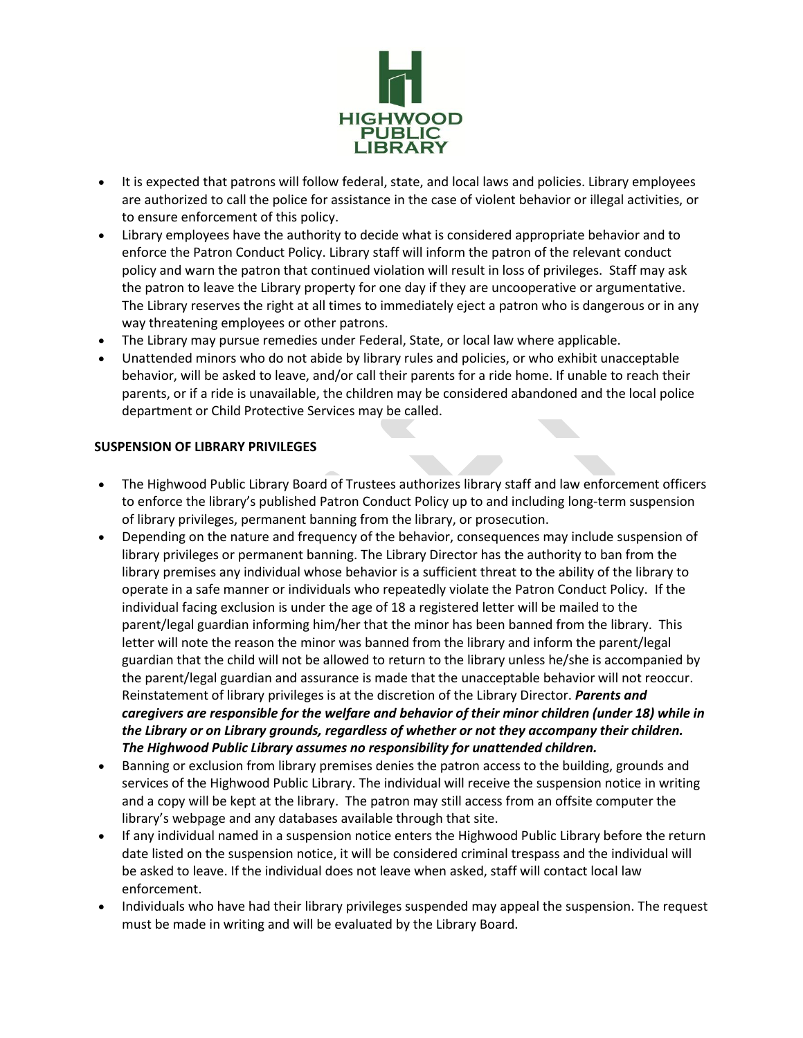

- It is expected that patrons will follow federal, state, and local laws and policies. Library employees are authorized to call the police for assistance in the case of violent behavior or illegal activities, or to ensure enforcement of this policy.
- Library employees have the authority to decide what is considered appropriate behavior and to enforce the Patron Conduct Policy. Library staff will inform the patron of the relevant conduct policy and warn the patron that continued violation will result in loss of privileges. Staff may ask the patron to leave the Library property for one day if they are uncooperative or argumentative. The Library reserves the right at all times to immediately eject a patron who is dangerous or in any way threatening employees or other patrons.
- The Library may pursue remedies under Federal, State, or local law where applicable.
- Unattended minors who do not abide by library rules and policies, or who exhibit unacceptable behavior, will be asked to leave, and/or call their parents for a ride home. If unable to reach their parents, or if a ride is unavailable, the children may be considered abandoned and the local police department or Child Protective Services may be called.

### **SUSPENSION OF LIBRARY PRIVILEGES**

- The Highwood Public Library Board of Trustees authorizes library staff and law enforcement officers to enforce the library's published Patron Conduct Policy up to and including long-term suspension of library privileges, permanent banning from the library, or prosecution.
- Depending on the nature and frequency of the behavior, consequences may include suspension of library privileges or permanent banning. The Library Director has the authority to ban from the library premises any individual whose behavior is a sufficient threat to the ability of the library to operate in a safe manner or individuals who repeatedly violate the Patron Conduct Policy. If the individual facing exclusion is under the age of 18 a registered letter will be mailed to the parent/legal guardian informing him/her that the minor has been banned from the library. This letter will note the reason the minor was banned from the library and inform the parent/legal guardian that the child will not be allowed to return to the library unless he/she is accompanied by the parent/legal guardian and assurance is made that the unacceptable behavior will not reoccur. Reinstatement of library privileges is at the discretion of the Library Director. *Parents and caregivers are responsible for the welfare and behavior of their minor children (under 18) while in the Library or on Library grounds, regardless of whether or not they accompany their children. The Highwood Public Library assumes no responsibility for unattended children.*
- Banning or exclusion from library premises denies the patron access to the building, grounds and services of the Highwood Public Library. The individual will receive the suspension notice in writing and a copy will be kept at the library. The patron may still access from an offsite computer the library's webpage and any databases available through that site.
- If any individual named in a suspension notice enters the Highwood Public Library before the return date listed on the suspension notice, it will be considered criminal trespass and the individual will be asked to leave. If the individual does not leave when asked, staff will contact local law enforcement.
- Individuals who have had their library privileges suspended may appeal the suspension. The request must be made in writing and will be evaluated by the Library Board.